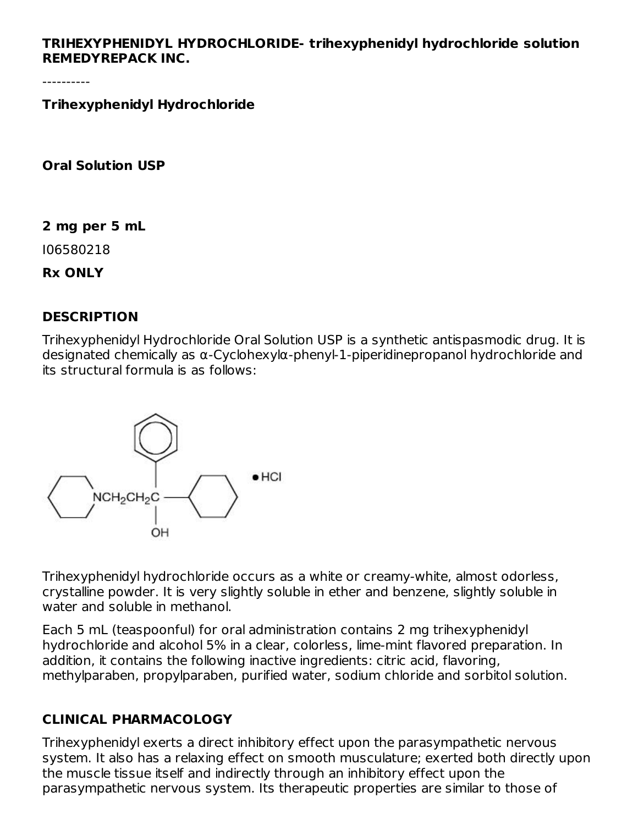#### **TRIHEXYPHENIDYL HYDROCHLORIDE- trihexyphenidyl hydrochloride solution REMEDYREPACK INC.**

**Trihexyphenidyl Hydrochloride**

**Oral Solution USP**

**2 mg per 5 mL**

I06580218

**Rx ONLY**

#### **DESCRIPTION**

Trihexyphenidyl Hydrochloride Oral Solution USP is a synthetic antispasmodic drug. It is designated chemically as α-Cyclohexylα-phenyl-1-piperidinepropanol hydrochloride and its structural formula is as follows:



Trihexyphenidyl hydrochloride occurs as a white or creamy-white, almost odorless, crystalline powder. It is very slightly soluble in ether and benzene, slightly soluble in water and soluble in methanol.

Each 5 mL (teaspoonful) for oral administration contains 2 mg trihexyphenidyl hydrochloride and alcohol 5% in a clear, colorless, lime-mint flavored preparation. In addition, it contains the following inactive ingredients: citric acid, flavoring, methylparaben, propylparaben, purified water, sodium chloride and sorbitol solution.

### **CLINICAL PHARMACOLOGY**

Trihexyphenidyl exerts a direct inhibitory effect upon the parasympathetic nervous system. It also has a relaxing effect on smooth musculature; exerted both directly upon the muscle tissue itself and indirectly through an inhibitory effect upon the parasympathetic nervous system. Its therapeutic properties are similar to those of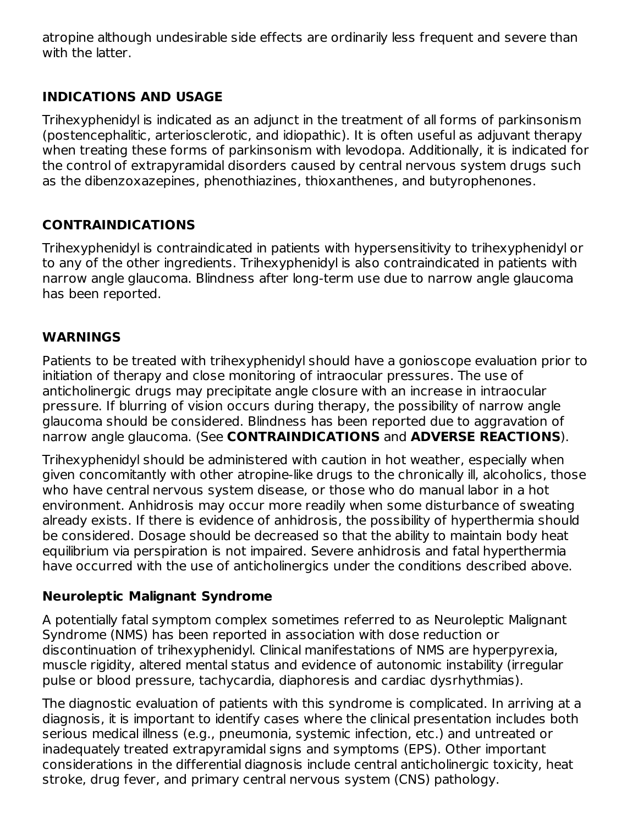atropine although undesirable side effects are ordinarily less frequent and severe than with the latter.

### **INDICATIONS AND USAGE**

Trihexyphenidyl is indicated as an adjunct in the treatment of all forms of parkinsonism (postencephalitic, arteriosclerotic, and idiopathic). It is often useful as adjuvant therapy when treating these forms of parkinsonism with levodopa. Additionally, it is indicated for the control of extrapyramidal disorders caused by central nervous system drugs such as the dibenzoxazepines, phenothiazines, thioxanthenes, and butyrophenones.

## **CONTRAINDICATIONS**

Trihexyphenidyl is contraindicated in patients with hypersensitivity to trihexyphenidyl or to any of the other ingredients. Trihexyphenidyl is also contraindicated in patients with narrow angle glaucoma. Blindness after long-term use due to narrow angle glaucoma has been reported.

#### **WARNINGS**

Patients to be treated with trihexyphenidyl should have a gonioscope evaluation prior to initiation of therapy and close monitoring of intraocular pressures. The use of anticholinergic drugs may precipitate angle closure with an increase in intraocular pressure. If blurring of vision occurs during therapy, the possibility of narrow angle glaucoma should be considered. Blindness has been reported due to aggravation of narrow angle glaucoma. (See **CONTRAINDICATIONS** and **ADVERSE REACTIONS**).

Trihexyphenidyl should be administered with caution in hot weather, especially when given concomitantly with other atropine-like drugs to the chronically ill, alcoholics, those who have central nervous system disease, or those who do manual labor in a hot environment. Anhidrosis may occur more readily when some disturbance of sweating already exists. If there is evidence of anhidrosis, the possibility of hyperthermia should be considered. Dosage should be decreased so that the ability to maintain body heat equilibrium via perspiration is not impaired. Severe anhidrosis and fatal hyperthermia have occurred with the use of anticholinergics under the conditions described above.

#### **Neuroleptic Malignant Syndrome**

A potentially fatal symptom complex sometimes referred to as Neuroleptic Malignant Syndrome (NMS) has been reported in association with dose reduction or discontinuation of trihexyphenidyl. Clinical manifestations of NMS are hyperpyrexia, muscle rigidity, altered mental status and evidence of autonomic instability (irregular pulse or blood pressure, tachycardia, diaphoresis and cardiac dysrhythmias).

The diagnostic evaluation of patients with this syndrome is complicated. In arriving at a diagnosis, it is important to identify cases where the clinical presentation includes both serious medical illness (e.g., pneumonia, systemic infection, etc.) and untreated or inadequately treated extrapyramidal signs and symptoms (EPS). Other important considerations in the differential diagnosis include central anticholinergic toxicity, heat stroke, drug fever, and primary central nervous system (CNS) pathology.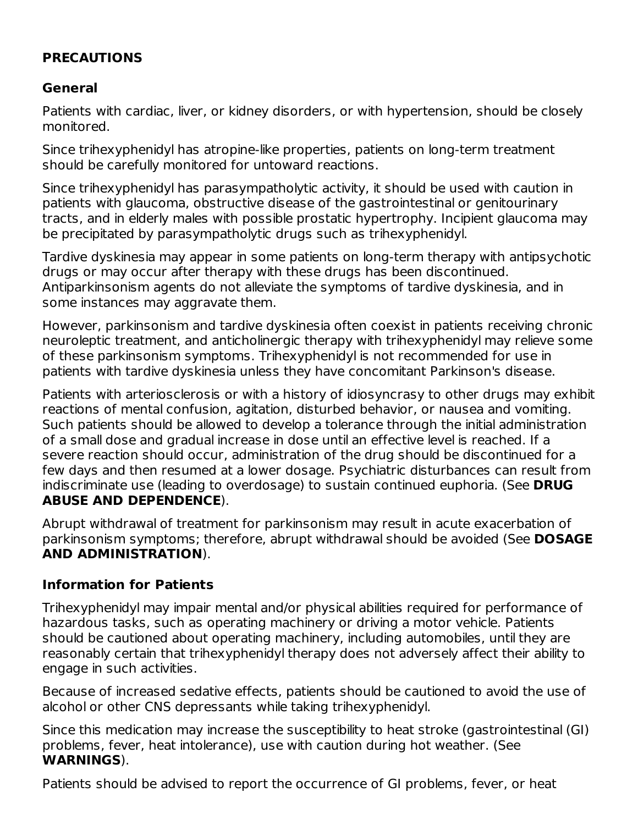### **PRECAUTIONS**

#### **General**

Patients with cardiac, liver, or kidney disorders, or with hypertension, should be closely monitored.

Since trihexyphenidyl has atropine-like properties, patients on long-term treatment should be carefully monitored for untoward reactions.

Since trihexyphenidyl has parasympatholytic activity, it should be used with caution in patients with glaucoma, obstructive disease of the gastrointestinal or genitourinary tracts, and in elderly males with possible prostatic hypertrophy. Incipient glaucoma may be precipitated by parasympatholytic drugs such as trihexyphenidyl.

Tardive dyskinesia may appear in some patients on long-term therapy with antipsychotic drugs or may occur after therapy with these drugs has been discontinued. Antiparkinsonism agents do not alleviate the symptoms of tardive dyskinesia, and in some instances may aggravate them.

However, parkinsonism and tardive dyskinesia often coexist in patients receiving chronic neuroleptic treatment, and anticholinergic therapy with trihexyphenidyl may relieve some of these parkinsonism symptoms. Trihexyphenidyl is not recommended for use in patients with tardive dyskinesia unless they have concomitant Parkinson's disease.

Patients with arteriosclerosis or with a history of idiosyncrasy to other drugs may exhibit reactions of mental confusion, agitation, disturbed behavior, or nausea and vomiting. Such patients should be allowed to develop a tolerance through the initial administration of a small dose and gradual increase in dose until an effective level is reached. If a severe reaction should occur, administration of the drug should be discontinued for a few days and then resumed at a lower dosage. Psychiatric disturbances can result from indiscriminate use (leading to overdosage) to sustain continued euphoria. (See **DRUG ABUSE AND DEPENDENCE**).

Abrupt withdrawal of treatment for parkinsonism may result in acute exacerbation of parkinsonism symptoms; therefore, abrupt withdrawal should be avoided (See **DOSAGE AND ADMINISTRATION**).

#### **Information for Patients**

Trihexyphenidyl may impair mental and/or physical abilities required for performance of hazardous tasks, such as operating machinery or driving a motor vehicle. Patients should be cautioned about operating machinery, including automobiles, until they are reasonably certain that trihexyphenidyl therapy does not adversely affect their ability to engage in such activities.

Because of increased sedative effects, patients should be cautioned to avoid the use of alcohol or other CNS depressants while taking trihexyphenidyl.

Since this medication may increase the susceptibility to heat stroke (gastrointestinal (GI) problems, fever, heat intolerance), use with caution during hot weather. (See **WARNINGS**).

Patients should be advised to report the occurrence of GI problems, fever, or heat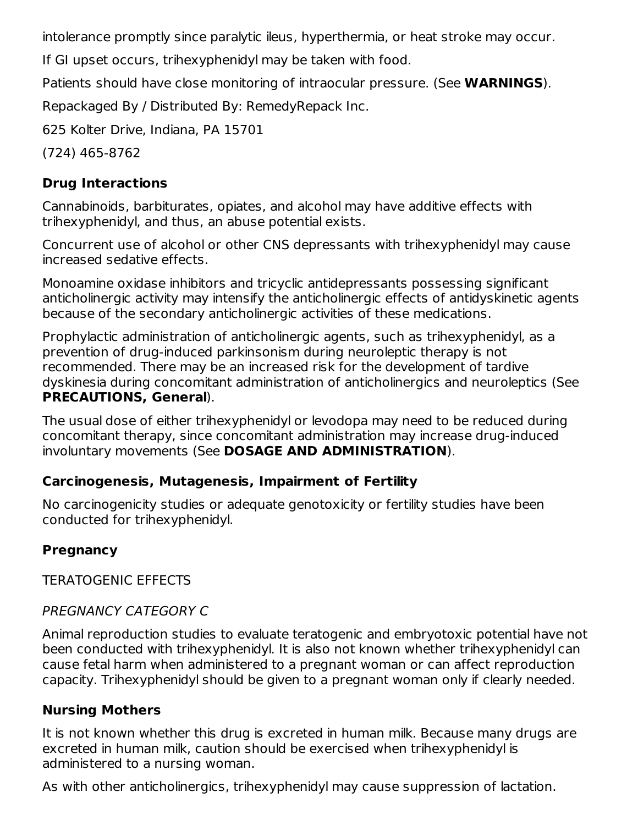intolerance promptly since paralytic ileus, hyperthermia, or heat stroke may occur.

If GI upset occurs, trihexyphenidyl may be taken with food.

Patients should have close monitoring of intraocular pressure. (See **WARNINGS**).

Repackaged By / Distributed By: RemedyRepack Inc.

625 Kolter Drive, Indiana, PA 15701

(724) 465-8762

## **Drug Interactions**

Cannabinoids, barbiturates, opiates, and alcohol may have additive effects with trihexyphenidyl, and thus, an abuse potential exists.

Concurrent use of alcohol or other CNS depressants with trihexyphenidyl may cause increased sedative effects.

Monoamine oxidase inhibitors and tricyclic antidepressants possessing significant anticholinergic activity may intensify the anticholinergic effects of antidyskinetic agents because of the secondary anticholinergic activities of these medications.

Prophylactic administration of anticholinergic agents, such as trihexyphenidyl, as a prevention of drug-induced parkinsonism during neuroleptic therapy is not recommended. There may be an increased risk for the development of tardive dyskinesia during concomitant administration of anticholinergics and neuroleptics (See **PRECAUTIONS, General**).

The usual dose of either trihexyphenidyl or levodopa may need to be reduced during concomitant therapy, since concomitant administration may increase drug-induced involuntary movements (See **DOSAGE AND ADMINISTRATION**).

### **Carcinogenesis, Mutagenesis, Impairment of Fertility**

No carcinogenicity studies or adequate genotoxicity or fertility studies have been conducted for trihexyphenidyl.

## **Pregnancy**

TERATOGENIC EFFECTS

## PREGNANCY CATEGORY C

Animal reproduction studies to evaluate teratogenic and embryotoxic potential have not been conducted with trihexyphenidyl. It is also not known whether trihexyphenidyl can cause fetal harm when administered to a pregnant woman or can affect reproduction capacity. Trihexyphenidyl should be given to a pregnant woman only if clearly needed.

### **Nursing Mothers**

It is not known whether this drug is excreted in human milk. Because many drugs are excreted in human milk, caution should be exercised when trihexyphenidyl is administered to a nursing woman.

As with other anticholinergics, trihexyphenidyl may cause suppression of lactation.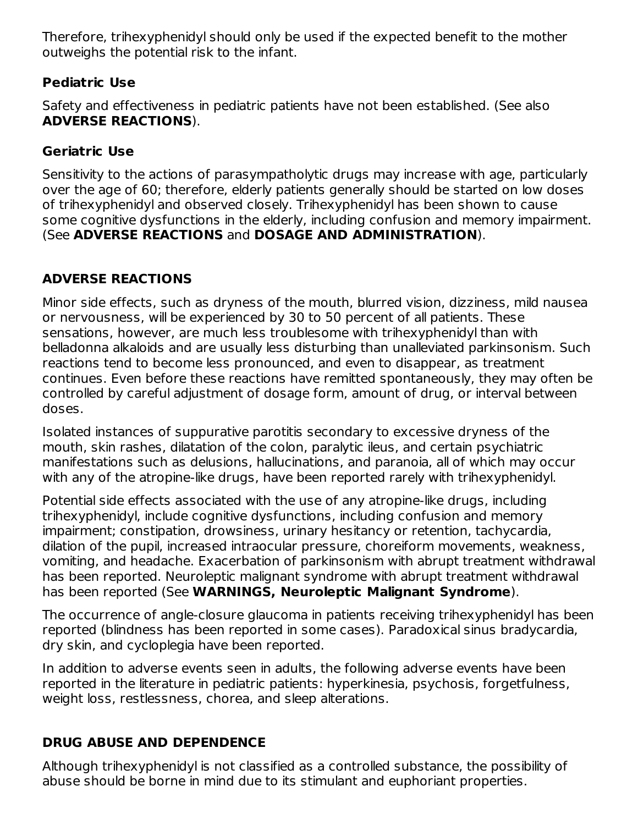Therefore, trihexyphenidyl should only be used if the expected benefit to the mother outweighs the potential risk to the infant.

### **Pediatric Use**

Safety and effectiveness in pediatric patients have not been established. (See also **ADVERSE REACTIONS**).

### **Geriatric Use**

Sensitivity to the actions of parasympatholytic drugs may increase with age, particularly over the age of 60; therefore, elderly patients generally should be started on low doses of trihexyphenidyl and observed closely. Trihexyphenidyl has been shown to cause some cognitive dysfunctions in the elderly, including confusion and memory impairment. (See **ADVERSE REACTIONS** and **DOSAGE AND ADMINISTRATION**).

## **ADVERSE REACTIONS**

Minor side effects, such as dryness of the mouth, blurred vision, dizziness, mild nausea or nervousness, will be experienced by 30 to 50 percent of all patients. These sensations, however, are much less troublesome with trihexyphenidyl than with belladonna alkaloids and are usually less disturbing than unalleviated parkinsonism. Such reactions tend to become less pronounced, and even to disappear, as treatment continues. Even before these reactions have remitted spontaneously, they may often be controlled by careful adjustment of dosage form, amount of drug, or interval between doses.

Isolated instances of suppurative parotitis secondary to excessive dryness of the mouth, skin rashes, dilatation of the colon, paralytic ileus, and certain psychiatric manifestations such as delusions, hallucinations, and paranoia, all of which may occur with any of the atropine-like drugs, have been reported rarely with trihexyphenidyl.

Potential side effects associated with the use of any atropine-like drugs, including trihexyphenidyl, include cognitive dysfunctions, including confusion and memory impairment; constipation, drowsiness, urinary hesitancy or retention, tachycardia, dilation of the pupil, increased intraocular pressure, choreiform movements, weakness, vomiting, and headache. Exacerbation of parkinsonism with abrupt treatment withdrawal has been reported. Neuroleptic malignant syndrome with abrupt treatment withdrawal has been reported (See **WARNINGS, Neuroleptic Malignant Syndrome**).

The occurrence of angle-closure glaucoma in patients receiving trihexyphenidyl has been reported (blindness has been reported in some cases). Paradoxical sinus bradycardia, dry skin, and cycloplegia have been reported.

In addition to adverse events seen in adults, the following adverse events have been reported in the literature in pediatric patients: hyperkinesia, psychosis, forgetfulness, weight loss, restlessness, chorea, and sleep alterations.

### **DRUG ABUSE AND DEPENDENCE**

Although trihexyphenidyl is not classified as a controlled substance, the possibility of abuse should be borne in mind due to its stimulant and euphoriant properties.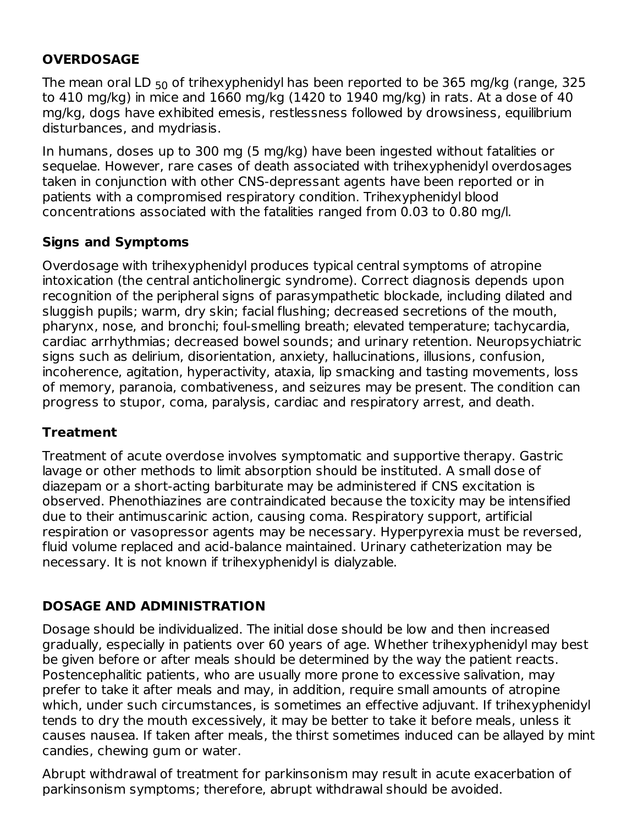#### **OVERDOSAGE**

The mean oral LD  $_{50}$  of trihexyphenidyl has been reported to be 365 mg/kg (range, 325  $\,$ to 410 mg/kg) in mice and 1660 mg/kg (1420 to 1940 mg/kg) in rats. At a dose of 40 mg/kg, dogs have exhibited emesis, restlessness followed by drowsiness, equilibrium disturbances, and mydriasis.

In humans, doses up to 300 mg (5 mg/kg) have been ingested without fatalities or sequelae. However, rare cases of death associated with trihexyphenidyl overdosages taken in conjunction with other CNS-depressant agents have been reported or in patients with a compromised respiratory condition. Trihexyphenidyl blood concentrations associated with the fatalities ranged from 0.03 to 0.80 mg/l.

### **Signs and Symptoms**

Overdosage with trihexyphenidyl produces typical central symptoms of atropine intoxication (the central anticholinergic syndrome). Correct diagnosis depends upon recognition of the peripheral signs of parasympathetic blockade, including dilated and sluggish pupils; warm, dry skin; facial flushing; decreased secretions of the mouth, pharynx, nose, and bronchi; foul-smelling breath; elevated temperature; tachycardia, cardiac arrhythmias; decreased bowel sounds; and urinary retention. Neuropsychiatric signs such as delirium, disorientation, anxiety, hallucinations, illusions, confusion, incoherence, agitation, hyperactivity, ataxia, lip smacking and tasting movements, loss of memory, paranoia, combativeness, and seizures may be present. The condition can progress to stupor, coma, paralysis, cardiac and respiratory arrest, and death.

### **Treatment**

Treatment of acute overdose involves symptomatic and supportive therapy. Gastric lavage or other methods to limit absorption should be instituted. A small dose of diazepam or a short-acting barbiturate may be administered if CNS excitation is observed. Phenothiazines are contraindicated because the toxicity may be intensified due to their antimuscarinic action, causing coma. Respiratory support, artificial respiration or vasopressor agents may be necessary. Hyperpyrexia must be reversed, fluid volume replaced and acid-balance maintained. Urinary catheterization may be necessary. It is not known if trihexyphenidyl is dialyzable.

## **DOSAGE AND ADMINISTRATION**

Dosage should be individualized. The initial dose should be low and then increased gradually, especially in patients over 60 years of age. Whether trihexyphenidyl may best be given before or after meals should be determined by the way the patient reacts. Postencephalitic patients, who are usually more prone to excessive salivation, may prefer to take it after meals and may, in addition, require small amounts of atropine which, under such circumstances, is sometimes an effective adjuvant. If trihexyphenidyl tends to dry the mouth excessively, it may be better to take it before meals, unless it causes nausea. If taken after meals, the thirst sometimes induced can be allayed by mint candies, chewing gum or water.

Abrupt withdrawal of treatment for parkinsonism may result in acute exacerbation of parkinsonism symptoms; therefore, abrupt withdrawal should be avoided.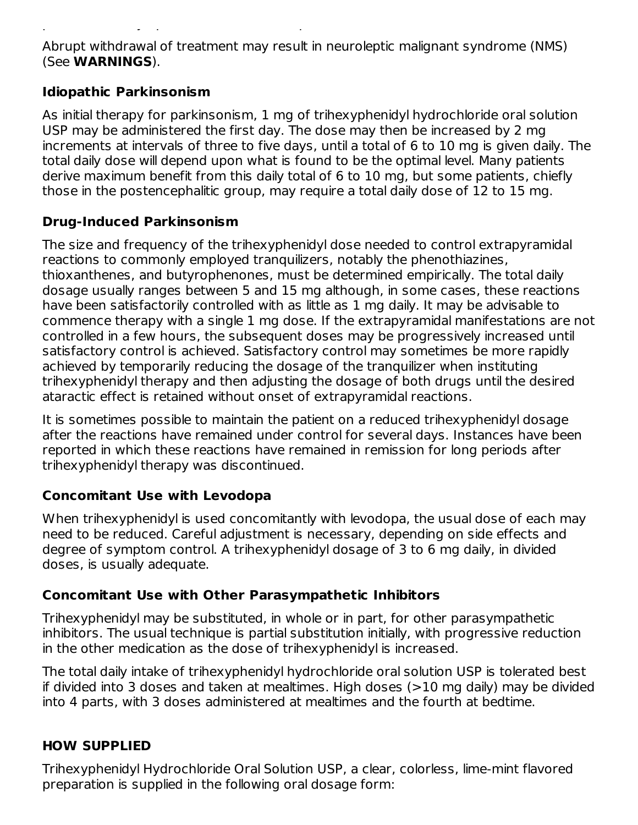Abrupt withdrawal of treatment may result in neuroleptic malignant syndrome (NMS) (See **WARNINGS**).

parkinsonism symptoms; therefore, abrupt withdrawal should be avoided.

#### **Idiopathic Parkinsonism**

As initial therapy for parkinsonism, 1 mg of trihexyphenidyl hydrochloride oral solution USP may be administered the first day. The dose may then be increased by 2 mg increments at intervals of three to five days, until a total of 6 to 10 mg is given daily. The total daily dose will depend upon what is found to be the optimal level. Many patients derive maximum benefit from this daily total of 6 to 10 mg, but some patients, chiefly those in the postencephalitic group, may require a total daily dose of 12 to 15 mg.

#### **Drug-Induced Parkinsonism**

The size and frequency of the trihexyphenidyl dose needed to control extrapyramidal reactions to commonly employed tranquilizers, notably the phenothiazines, thioxanthenes, and butyrophenones, must be determined empirically. The total daily dosage usually ranges between 5 and 15 mg although, in some cases, these reactions have been satisfactorily controlled with as little as 1 mg daily. It may be advisable to commence therapy with a single 1 mg dose. If the extrapyramidal manifestations are not controlled in a few hours, the subsequent doses may be progressively increased until satisfactory control is achieved. Satisfactory control may sometimes be more rapidly achieved by temporarily reducing the dosage of the tranquilizer when instituting trihexyphenidyl therapy and then adjusting the dosage of both drugs until the desired ataractic effect is retained without onset of extrapyramidal reactions.

It is sometimes possible to maintain the patient on a reduced trihexyphenidyl dosage after the reactions have remained under control for several days. Instances have been reported in which these reactions have remained in remission for long periods after trihexyphenidyl therapy was discontinued.

#### **Concomitant Use with Levodopa**

When trihexyphenidyl is used concomitantly with levodopa, the usual dose of each may need to be reduced. Careful adjustment is necessary, depending on side effects and degree of symptom control. A trihexyphenidyl dosage of 3 to 6 mg daily, in divided doses, is usually adequate.

### **Concomitant Use with Other Parasympathetic Inhibitors**

Trihexyphenidyl may be substituted, in whole or in part, for other parasympathetic inhibitors. The usual technique is partial substitution initially, with progressive reduction in the other medication as the dose of trihexyphenidyl is increased.

The total daily intake of trihexyphenidyl hydrochloride oral solution USP is tolerated best if divided into 3 doses and taken at mealtimes. High doses (>10 mg daily) may be divided into 4 parts, with 3 doses administered at mealtimes and the fourth at bedtime.

### **HOW SUPPLIED**

Trihexyphenidyl Hydrochloride Oral Solution USP, a clear, colorless, lime-mint flavored preparation is supplied in the following oral dosage form: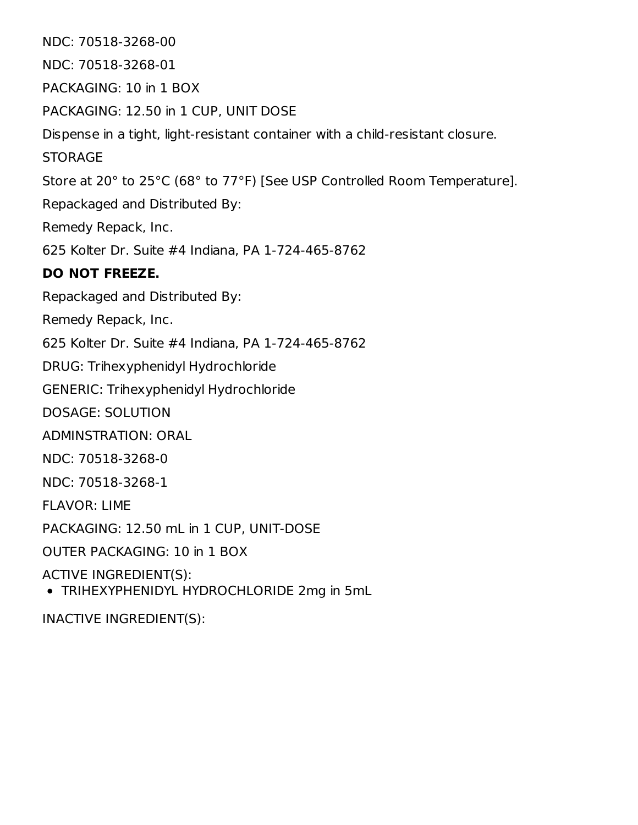NDC: 70518-3268-00 NDC: 70518-3268-01 PACKAGING: 10 in 1 BOX PACKAGING: 12.50 in 1 CUP, UNIT DOSE Dispense in a tight, light-resistant container with a child-resistant closure. **STORAGE** Store at 20° to 25°C (68° to 77°F) [See USP Controlled Room Temperature]. Repackaged and Distributed By: Remedy Repack, Inc. 625 Kolter Dr. Suite #4 Indiana, PA 1-724-465-8762 **DO NOT FREEZE.** Repackaged and Distributed By: Remedy Repack, Inc. 625 Kolter Dr. Suite #4 Indiana, PA 1-724-465-8762 DRUG: Trihexyphenidyl Hydrochloride GENERIC: Trihexyphenidyl Hydrochloride DOSAGE: SOLUTION ADMINSTRATION: ORAL NDC: 70518-3268-0 NDC: 70518-3268-1 FLAVOR: LIME PACKAGING: 12.50 mL in 1 CUP, UNIT-DOSE OUTER PACKAGING: 10 in 1 BOX ACTIVE INGREDIENT(S): TRIHEXYPHENIDYL HYDROCHLORIDE 2mg in 5mL

INACTIVE INGREDIENT(S):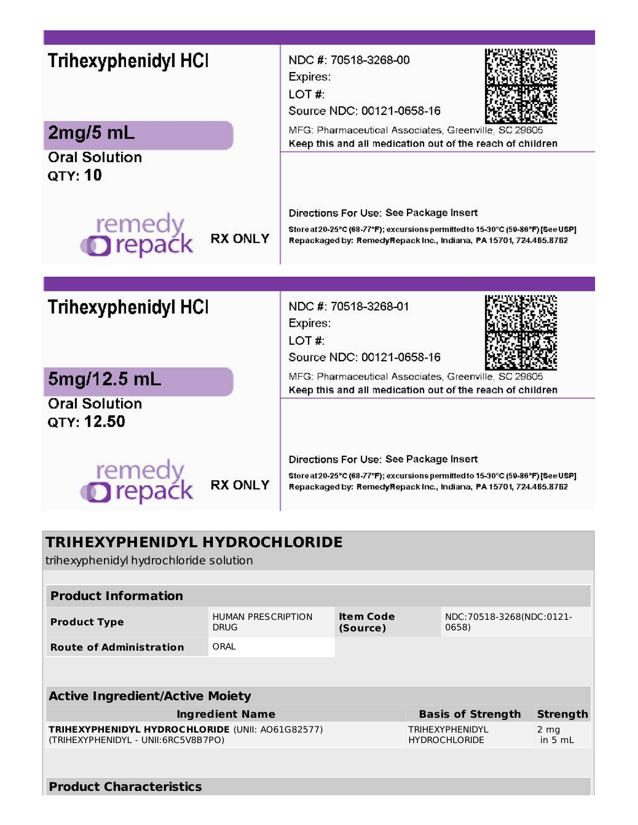| <b>Trihexyphenidyl HCI</b><br>Expires:<br>LOT#:<br>2mg/5mL                                  | NDC #: 70518-3268-00<br>Source NDC: 00121-0658-16<br>MFG: Pharmaceutical Associates, Greenville, SC 29605<br>Keep this and all medication out of the reach of children                         |  |  |  |  |  |  |
|---------------------------------------------------------------------------------------------|------------------------------------------------------------------------------------------------------------------------------------------------------------------------------------------------|--|--|--|--|--|--|
| <b>Oral Solution</b><br>QTY: 10<br>remedy<br><b>O</b> repack<br><b>RX ONLY</b>              | Directions For Use: See Package Insert<br>Store at 20-25°C (68-77°F); excursions permitted to 15-30°C (59-86°F) [See USP]<br>Repackaged by: RemedyRepack Inc., Indiana, PA 15701, 724.465.8762 |  |  |  |  |  |  |
| <b>Trihexyphenidyl HCI</b>                                                                  | NDC #: 70518-3268-01                                                                                                                                                                           |  |  |  |  |  |  |
| Expires:<br>LOT#:<br>5mg/12.5 mL                                                            | Source NDC: 00121-0658-16<br>MFG: Pharmaceutical Associates, Greenville, SC 29605                                                                                                              |  |  |  |  |  |  |
| <b>Oral Solution</b><br>QTY: 12.50                                                          | Keep this and all medication out of the reach of children<br>Directions For Use: See Package Insert                                                                                            |  |  |  |  |  |  |
| remed<br><b>Drepa</b><br><b>RX ONLY</b>                                                     | Store at 20-25°C (68-77°F); excursions permitted to 15-30°C (59-86°F) [See USP]<br>Repackaged by: RemedyRepack Inc., Indiana, PA 15701, 724.465.8762                                           |  |  |  |  |  |  |
| TRIHEXYPHENIDYL HYDROCHLORIDE<br>trihexyphenidyl hydrochloride solution<br>and to famounts. |                                                                                                                                                                                                |  |  |  |  |  |  |

| Proguct Information                                                                            |                                          |                              |                                   |                                                |                   |  |  |  |  |  |
|------------------------------------------------------------------------------------------------|------------------------------------------|------------------------------|-----------------------------------|------------------------------------------------|-------------------|--|--|--|--|--|
| <b>Product Type</b>                                                                            | <b>HUMAN PRESCRIPTION</b><br><b>DRUG</b> | <b>Item Code</b><br>(Source) | NDC:70518-3268(NDC:0121-<br>0658) |                                                |                   |  |  |  |  |  |
| <b>Route of Administration</b>                                                                 | ORAL                                     |                              |                                   |                                                |                   |  |  |  |  |  |
|                                                                                                |                                          |                              |                                   |                                                |                   |  |  |  |  |  |
| <b>Active Ingredient/Active Moiety</b>                                                         |                                          |                              |                                   |                                                |                   |  |  |  |  |  |
| <b>Ingredient Name</b>                                                                         |                                          |                              |                                   | <b>Basis of Strength</b>                       | <b>Strength</b>   |  |  |  |  |  |
| <b>TRIHEXYPHENIDYL HYDROCHLORIDE (UNII: A061G82577)</b><br>(TRIHEXYPHENIDYL - UNII:6RC5V8B7PO) |                                          |                              |                                   | <b>TRIHEXYPHENIDYL</b><br><b>HYDROCHLORIDE</b> | 2 mg<br>in 5 $mL$ |  |  |  |  |  |
|                                                                                                |                                          |                              |                                   |                                                |                   |  |  |  |  |  |

## **Product Characteristics**